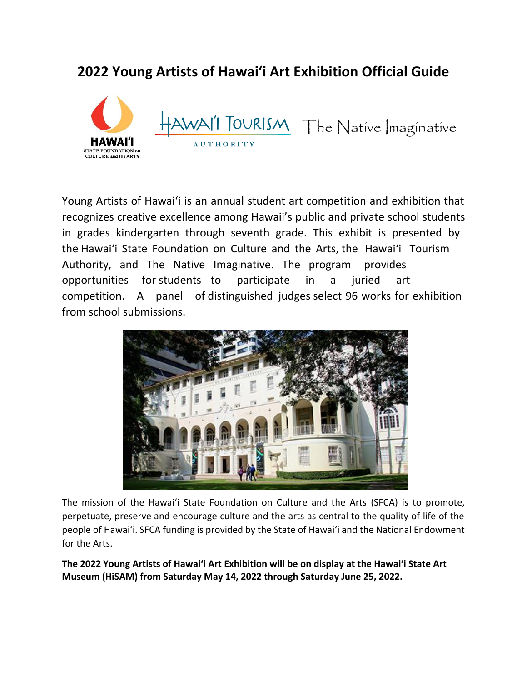# **2022 Young Artists of Hawaiʻi Art Exhibition Official Guide**



Young Artists of Hawai'i is an annual student art competition and exhibition that recognizes creative excellence among Hawaii's public and private school students in grades kindergarten through seventh grade. This exhibit is presented by the Hawai'i State Foundation on Culture and the Arts, the Hawai'i Tourism Authority, and The Native Imaginative. The program provides opportunities for students to participate in a juried art competition. A panel of distinguished judges select 96 works for exhibition from school submissions.



The mission of the Hawai'i State Foundation on Culture and the Arts (SFCA) is to promote, perpetuate, preserve and encourage culture and the arts as central to the quality of life of the people of Hawai'i. SFCA funding is provided by the State of Hawai'i and the National Endowment for the Arts.

**The 2022 Young Artists of Hawaiʻi Art Exhibition will be on display at the Hawaiʻi State Art Museum (HiSAM) from Saturday May 14, 2022 through Saturday June 25, 2022.**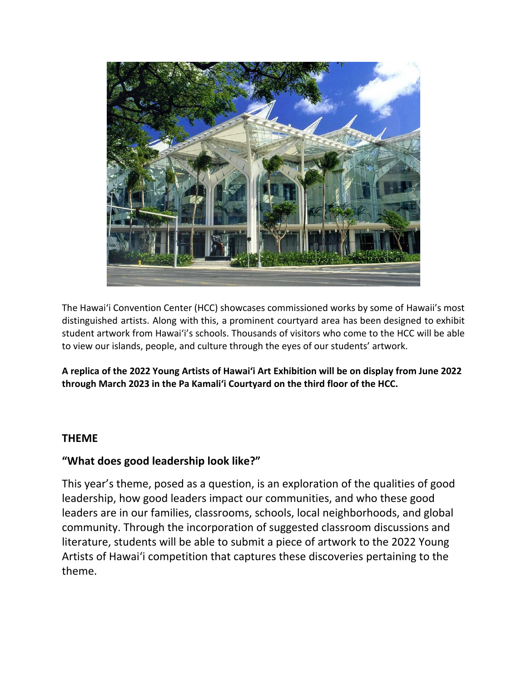

The Hawaiʻi Convention Center (HCC) showcases commissioned works by some of Hawaii's most distinguished artists. Along with this, a prominent courtyard area has been designed to exhibit student artwork from Hawai'i's schools. Thousands of visitors who come to the HCC will be able to view our islands, people, and culture through the eyes of our students' artwork.

**A replica of the 2022 Young Artists of Hawaiʻi Art Exhibition will be on display from June 2022 through March 2023 in the Pa Kamaliʻi Courtyard on the third floor of the HCC.**

### **THEME**

### **"What does good leadership look like?"**

This year's theme, posed as a question, is an exploration of the qualities of good leadership, how good leaders impact our communities, and who these good leaders are in our families, classrooms, schools, local neighborhoods, and global community. Through the incorporation of suggested classroom discussions and literature, students will be able to submit a piece of artwork to the 2022 Young Artists of Hawai'i competition that captures these discoveries pertaining to the theme.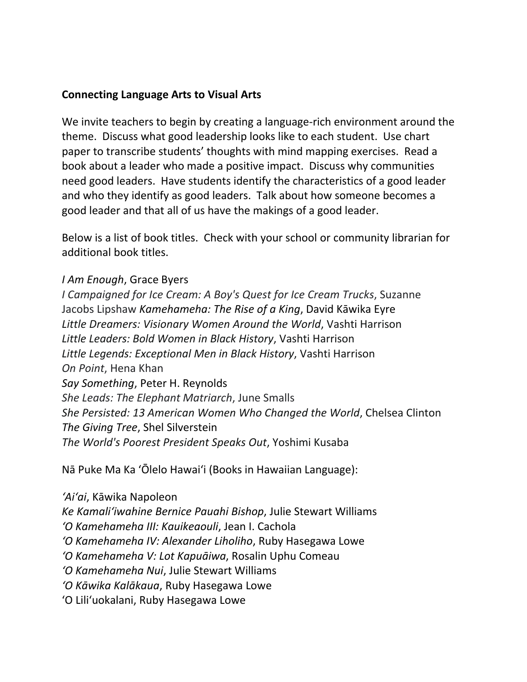### **Connecting Language Arts to Visual Arts**

We invite teachers to begin by creating a language-rich environment around the theme. Discuss what good leadership looks like to each student. Use chart paper to transcribe students' thoughts with mind mapping exercises. Read a book about a leader who made a positive impact. Discuss why communities need good leaders. Have students identify the characteristics of a good leader and who they identify as good leaders. Talk about how someone becomes a good leader and that all of us have the makings of a good leader.

Below is a list of book titles. Check with your school or community librarian for additional book titles.

### *I Am Enough*, Grace Byers

*I Campaigned for Ice Cream: A Boy's Quest for Ice Cream Trucks*, Suzanne Jacobs Lipshaw *Kamehameha: The Rise of a King*, David Kāwika Eyre *Little Dreamers: Visionary Women Around the World*, Vashti Harrison *Little Leaders: Bold Women in Black History*, Vashti Harrison *Little Legends: Exceptional Men in Black History*, Vashti Harrison *On Point*, Hena Khan *Say Something*, Peter H. Reynolds *She Leads: The Elephant Matriarch*, June Smalls *She Persisted: 13 American Women Who Changed the World*, Chelsea Clinton *The Giving Tree*, Shel Silverstein *The World's Poorest President Speaks Out*, Yoshimi Kusaba

Nā Puke Ma Ka ʻŌlelo Hawaiʻi (Books in Hawaiian Language):

*ʻAiʻai*, Kāwika Napoleon *Ke Kamaliʻiwahine Bernice Pauahi Bishop*, Julie Stewart Williams *ʻO Kamehameha III: Kauikeaouli*, Jean I. Cachola *ʻO Kamehameha IV: Alexander Liholiho*, Ruby Hasegawa Lowe *ʻO Kamehameha V: Lot Kapuāiwa*, Rosalin Uphu Comeau *ʻO Kamehameha Nui*, Julie Stewart Williams *ʻO Kāwika Kalākaua*, Ruby Hasegawa Lowe ʻO Liliʻuokalani, Ruby Hasegawa Lowe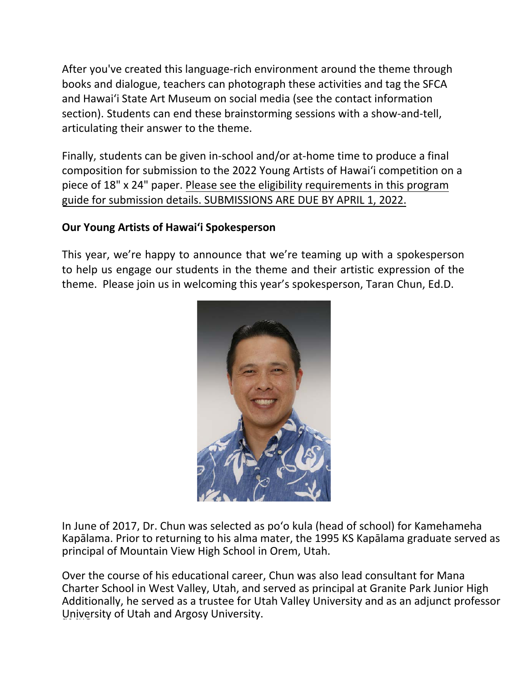After you've created this language-rich environment around the theme through books and dialogue, teachers can photograph these activities and tag the SFCA and Hawai'i State Art Museum on social media (see the contact information section). Students can end these brainstorming sessions with a show-and-tell, articulating their answer to the theme.

Finally, students can be given in-school and/or at-home time to produce a final composition for submission to the 2022 Young Artists of Hawai'i competition on a piece of 18" x 24" paper. Please see the eligibility requirements in this program guide for submission details. SUBMISSIONS ARE DUE BY APRIL 1, 2022.

## **Our Young Artists of Hawaiʻi Spokesperson**

This year, we're happy to announce that we're teaming up with a spokesperson to help us engage our students in the theme and their artistic expression of the theme. Please join us in welcoming this year's spokesperson, Taran Chun, Ed.D.



In June of 2017, Dr. Chun was selected as po'o kula (head of school) for Kamehameha Kapālama. Prior to returning to his alma mater, the 1995 KS Kapālama graduate served as principal of Mountain View High School in Orem, Utah.

Over the course of his educational career, Chun was also lead consultant for Mana Charter School in West Valley, Utah, and served as principal at Granite Park Junior High Additionally, he served as a trustee for Utah Valley University and as an adjunct professor University of Utah and Argosy University.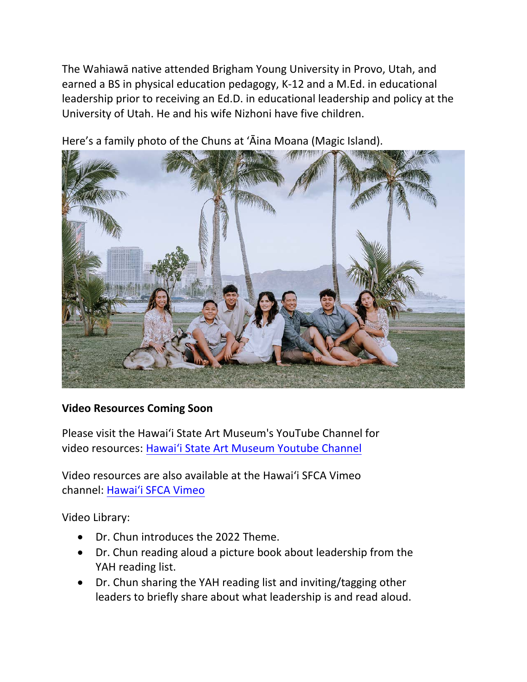The Wahiawā native attended Brigham Young University in Provo, Utah, and earned a BS in physical education pedagogy, K-12 and a M.Ed. in educational leadership prior to receiving an Ed.D. in educational leadership and policy at the University of Utah. He and his wife Nizhoni have five children.



Here's a family photo of the Chuns at ʻĀina Moana (Magic Island).

## **Video Resources Coming Soon**

Please visit the Hawaiʻi State Art Museum's YouTube Channel for video resources: [Hawai'i State Art Museum Youtube Channel](https://www.youtube.com/channel/UCHkjuXDB8QymUFzECMmGa0Q)

Video resources are also available at the Hawai'i SFCA Vimeo channel: [Hawai'i SFCA Vimeo](https://vimeo.com/hawaiisfca)

Video Library:

- Dr. Chun introduces the 2022 Theme.
- Dr. Chun reading aloud a picture book about leadership from the YAH reading list.
- Dr. Chun sharing the YAH reading list and inviting/tagging other leaders to briefly share about what leadership is and read aloud.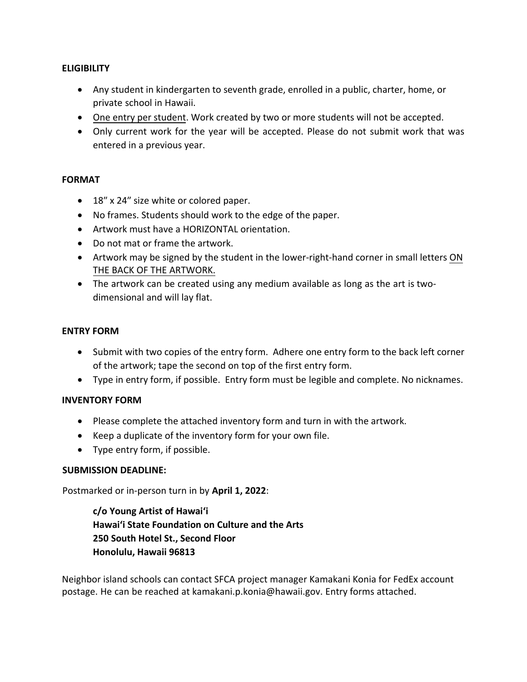#### **ELIGIBILITY**

- Any student in kindergarten to seventh grade, enrolled in a public, charter, home, or private school in Hawaii.
- One entry per student. Work created by two or more students will not be accepted.
- Only current work for the year will be accepted. Please do not submit work that was entered in a previous year.

#### **FORMAT**

- 18" x 24" size white or colored paper.
- No frames. Students should work to the edge of the paper.
- Artwork must have a HORIZONTAL orientation.
- Do not mat or frame the artwork.
- Artwork may be signed by the student in the lower-right-hand corner in small letters ON THE BACK OF THE ARTWORK.
- The artwork can be created using any medium available as long as the art is twodimensional and will lay flat.

#### **ENTRY FORM**

- Submit with two copies of the entry form. Adhere one entry form to the back left corner of the artwork; tape the second on top of the first entry form.
- Type in entry form, if possible. Entry form must be legible and complete. No nicknames.

#### **INVENTORY FORM**

- Please complete the attached inventory form and turn in with the artwork.
- Keep a duplicate of the inventory form for your own file.
- Type entry form, if possible.

#### **SUBMISSION DEADLINE:**

Postmarked or in-person turn in by **April 1, 2022**:

**c/o Young Artist of Hawaiʻi Hawaiʻi State Foundation on Culture and the Arts 250 South Hotel St., Second Floor Honolulu, Hawaii 96813** 

Neighbor island schools can contact SFCA project manager Kamakani Konia for FedEx account postage. He can be reached at kamakani.p.konia@hawaii.gov. Entry forms attached.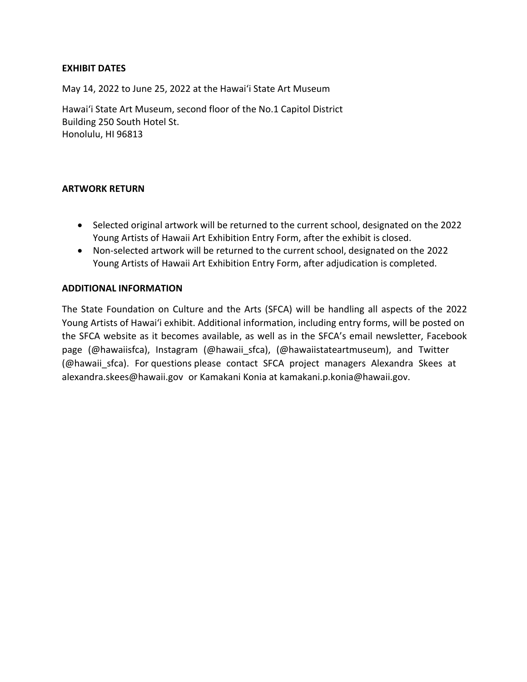#### **EXHIBIT DATES**

May 14, 2022 to June 25, 2022 at the Hawaiʻi State Art Museum

Hawaiʻi State Art Museum, second floor of the No.1 Capitol District Building 250 South Hotel St. Honolulu, HI 96813

#### **ARTWORK RETURN**

- Selected original artwork will be returned to the current school, designated on the 2022 Young Artists of Hawaii Art Exhibition Entry Form, after the exhibit is closed.
- Non-selected artwork will be returned to the current school, designated on the 2022 Young Artists of Hawaii Art Exhibition Entry Form, after adjudication is completed.

#### **ADDITIONAL INFORMATION**

The State Foundation on Culture and the Arts (SFCA) will be handling all aspects of the 2022 Young Artists of Hawaiʻi exhibit. Additional information, including entry forms, will be posted on the SFCA website as it becomes available, as well as in the SFCA's email newsletter, Facebook page (@hawaiisfca), Instagram (@hawaii sfca), (@hawaiistateartmuseum), and Twitter (@hawaii sfca). For questions please contact SFCA project managers Alexandra Skees at alexandra.skees@hawaii.gov or Kamakani Konia at kamakani.p.konia@hawaii.gov.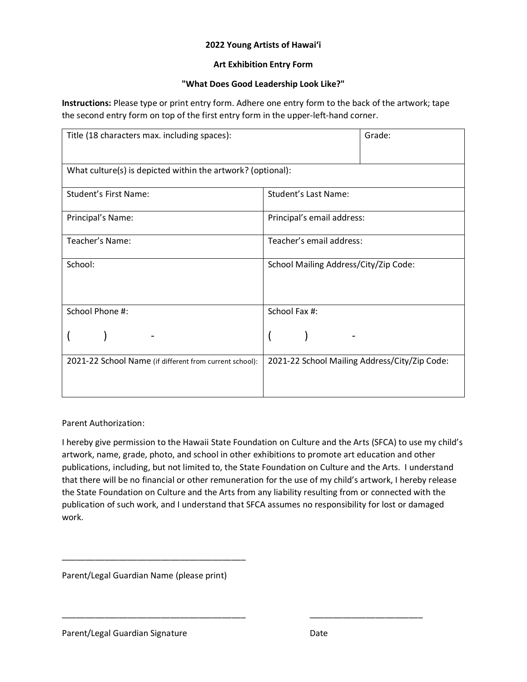#### **2022 Young Artists of Hawaiʻi**

#### **Art Exhibition Entry Form**

#### **"What Does Good Leadership Look Like?"**

**Instructions:** Please type or print entry form. Adhere one entry form to the back of the artwork; tape the second entry form on top of the first entry form in the upper-left-hand corner.

| Title (18 characters max. including spaces):                | Grade:                                        |  |  |  |
|-------------------------------------------------------------|-----------------------------------------------|--|--|--|
| What culture(s) is depicted within the artwork? (optional): |                                               |  |  |  |
| <b>Student's First Name:</b>                                | Student's Last Name:                          |  |  |  |
| Principal's Name:                                           | Principal's email address:                    |  |  |  |
| Teacher's Name:                                             | Teacher's email address:                      |  |  |  |
| School:                                                     | School Mailing Address/City/Zip Code:         |  |  |  |
|                                                             |                                               |  |  |  |
| School Phone #:                                             | School Fax #:                                 |  |  |  |
|                                                             |                                               |  |  |  |
| 2021-22 School Name (if different from current school):     | 2021-22 School Mailing Address/City/Zip Code: |  |  |  |
|                                                             |                                               |  |  |  |

Parent Authorization:

I hereby give permission to the Hawaii State Foundation on Culture and the Arts (SFCA) to use my child's artwork, name, grade, photo, and school in other exhibitions to promote art education and other publications, including, but not limited to, the State Foundation on Culture and the Arts. I understand that there will be no financial or other remuneration for the use of my child's artwork, I hereby release the State Foundation on Culture and the Arts from any liability resulting from or connected with the publication of such work, and I understand that SFCA assumes no responsibility for lost or damaged work.

\_\_\_\_\_\_\_\_\_\_\_\_\_\_\_\_\_\_\_\_\_\_\_\_\_\_\_\_\_\_\_\_\_\_\_\_\_\_\_ \_\_\_\_\_\_\_\_\_\_\_\_\_\_\_\_\_\_\_\_\_\_\_\_

Parent/Legal Guardian Name (please print)

\_\_\_\_\_\_\_\_\_\_\_\_\_\_\_\_\_\_\_\_\_\_\_\_\_\_\_\_\_\_\_\_\_\_\_\_\_\_\_